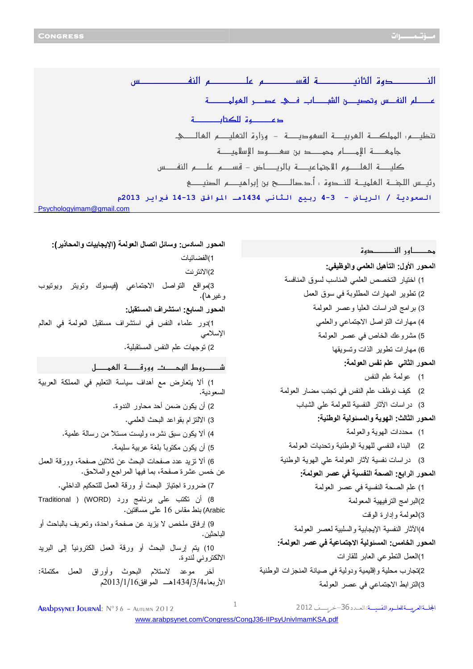لللل عصله النفس وتحصب الشصاب فك عصر العولمصة دعكم الكتاب ت جامى ــــــة الإمـــــــــام محمـــــــد بن سمــــــــود الإسلاميــــــــة رئيــــس اللـجنــــة الــعلميــــة النـــــحوة : أ.د.صالـــــــح بن إبراهيـــــــــم الصنيــــــــح السعودية / الرياض - 3-4 ربيع الثاني 1434هـ الموافق 13-14 فبراير 2013م Psychologyimam@gmail.com

المحور السادس: وسائل اتصال العولمة (الإيجابيات والمحاذير): محـــــــــاه رالنـــــــــــــــــوم ت 1)الفضائيات المحور الأول: التأهيل العلمي والوظيفي: 2)الانتر نت 1) اختيار التخصص العلمي المناسب لسوق المنافسة 3)مواقع التواصل الاجتماعي (فيسبوك وتويتر ويوتيوب 2) نطوير المهارات المطلوبة في سوق العمل و غير ها). 3) برامج الدراسات العليا وعصر العولمة المحور السابع: استشراف المستقبل: 4) مهارات النواصل الاجتماعي والعلمي 1)دور علماء النفس في استشراف مستقبل العولمة في العالم الإسلامي 5) مشروعك الخاص في عصر العولمة 2) توجهات علم النفس المستقبلية. 6) مهارات تطوير الذات وتسويقها المحور الثاني علم نفس العولمة: 1) عولمة علم النفس 1) ألا يتعارض مع أهداف سياسة التعليم في المملكة العربية 2) كيف نوظف علم النفس في نجنب مضار العولمة السعو دبة. 3) در اسات الأثار النفسية للعولمة على الشباب 2) أن يكون ضمن أحد محاور الندوة. المحور الثالث: الـهوية والمسئولية الوطنية: 3) الالنتزام بقواعد البحث العلمي. 1) محددات المهوية والعولمة 4) ألا يكون سبق نشره، وليست مستلا من رسالة علمية. 2) البناء النفسي للهوية الوطنية وتحديات العولمة 5) أن يكون مكتوبا بلغة عربية سليمة. 3) دراسات نفسية لأثار العولمة على الهوية الوطنية 6) ألا تزيد عدد صفحات البحث عن ثلاثين صفحة، وورقة العمل عن خمس عشرة صفحة، بما فيها المراجع والملاحق. المحور الرابع: الصحة النفسية في عصر العولمة: 7) ضرورة اجتياز البحث أو ورقة العمل للتحكيم الداخلي. 1) علم الصحة النفسية في عصر العولمة 8) أن نكتب على برنامج ورد (WORD) ( Traditional 2)البر امج النر فيهية المعولمة Arabic) بنط مقاس 16 على مسافتين. 3)العولمة وإدارة الوقت 9) إرفاق ملخص لا يزيد عن صفحة واحدة، وتعريف بالباحث أو 4)الآثار النفسية الإيجابية والسلبية لعصر العولمة الباحثين. المحور الخامس: المسئولية الاجتماعية في عصر العولمة: 10) بِنَم إرسال البحث أو ورقة العمل الكترونيا إلى البريد 1)العمل النطوعي العابر للقارات الالكتروني لندوة. 2)تجار ب محلية و إقليمية و دولية في صيانة المنجز ات الوطنية أخر موعد لاستلام البحوث وأوراق العمل مكتملة: 3)الترابط الاجتماعي في عصر العولمة

ARADDSVNET JOURNAL: N°36 - AUTUMN 2012

 $\mathbf{1}$ 

الجلة العربسة للعليوم النفسيسة: العيدد 36-خربسيف 2012